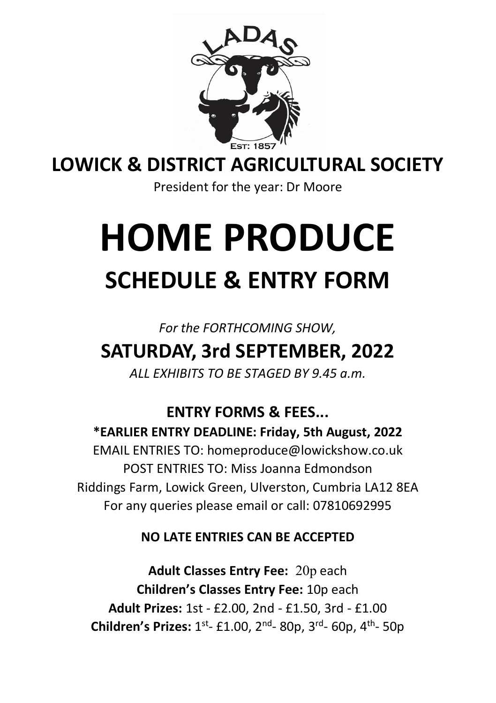

# **LOWICK & DISTRICT AGRICULTURAL SOCIETY**

President for the year: Dr Moore

# **HOME PRODUCE SCHEDULE & ENTRY FORM**

# *For the FORTHCOMING SHOW,* **SATURDAY, 3rd SEPTEMBER, 2022**

*ALL EXHIBITS TO BE STAGED BY 9.45 a.m.*

# **ENTRY FORMS & FEES...**

**\*EARLIER ENTRY DEADLINE: Friday, 5th August, 2022**  EMAIL ENTRIES TO: homeproduce@lowickshow.co.uk POST ENTRIES TO: Miss Joanna Edmondson Riddings Farm, Lowick Green, Ulverston, Cumbria LA12 8EA For any queries please email or call: 07810692995

# **NO LATE ENTRIES CAN BE ACCEPTED**

**Adult Classes Entry Fee:** 20p each **Children's Classes Entry Fee:** 10p each **Adult Prizes:** 1st - £2.00, 2nd - £1.50, 3rd - £1.00 **Children's Prizes:** 1st- £1.00, 2nd- 80p, 3rd- 60p, 4th- 50p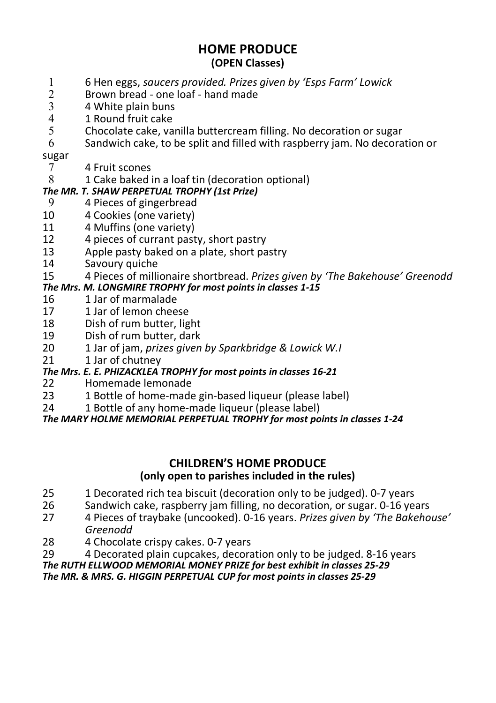#### **HOME PRODUCE (OPEN Classes)**

- 1 6 Hen eggs, *saucers provided. Prizes given by 'Esps Farm' Lowick*
- 2 Brown bread one loaf hand made<br>3 4 White plain buns
- 3 4 White plain buns<br>4 1 Round fruit cake
- 4 1 Round fruit cake<br>5 Chocolate cake, va
- 5 Chocolate cake, vanilla buttercream filling. No decoration or sugar
- 6 Sandwich cake, to be split and filled with raspberry jam. No decoration or

# sugar $\frac{7}{7}$

- 7 4 Fruit scones<br>8 1 Cake baked i
- 1 Cake baked in a loaf tin (decoration optional)

# *The MR. T. SHAW PERPETUAL TROPHY (1st Prize)*

- 9 4 Pieces of gingerbread<br>10 4 Cookies (one variety)
- 4 Cookies (one variety)
- 11 4 Muffins (one variety)<br>12 4 pieces of currant past
- 12 4 pieces of currant pasty, short pastry<br>13 Apple pasty baked on a plate, short pa
- 13 Apple pasty baked on a plate, short pastry<br>14 Savoury quiche
- 14 Savoury quiche<br>15 4 Pieces of milli
- 15 4 Pieces of millionaire shortbread. *Prizes given by 'The Bakehouse' Greenodd*

#### *The Mrs. M. LONGMIRE TROPHY for most points in classes 1-15*

- 16 1 Jar of marmalade<br>17 1 Jar of Jemon chee
- 1 Jar of lemon cheese
- 18 Dish of rum butter, light<br>19 Dish of rum butter, dark
- 19 Dish of rum butter, dark<br>20 1 Jar of iam. *prizes given*
- 20 1 Jar of jam, *prizes given by Sparkbridge & Lowick W.I*
- 21 1 Jar of chutney
- *The Mrs. E. E. PHIZACKLEA TROPHY for most points in classes 16-21*
- 22 Homemade lemonade<br>23 1 Bottle of home-made
- 23 1 Bottle of home-made gin-based liqueur (please label)<br>24 1 Bottle of any home-made liqueur (please label)
- 1 Bottle of any home-made liqueur (please label)

*The MARY HOLME MEMORIAL PERPETUAL TROPHY for most points in classes 1-24*

#### **CHILDREN'S HOME PRODUCE (only open to parishes included in the rules)**

- 25 1 Decorated rich tea biscuit (decoration only to be judged). 0-7 years<br>26 Sandwich cake raspberry jam filling no decoration or sugar 0-16 ye
- 26 Sandwich cake, raspberry jam filling, no decoration, or sugar. 0-16 years<br>27 A Pieces of traybake (uncooked). 0-16 years, Prizes given by 'The Bakeho
- 27 4 Pieces of traybake (uncooked). 0-16 years. *Prizes given by 'The Bakehouse' Greenodd*
- 28 4 Chocolate crispy cakes. 0-7 years
- 29 4 Decorated plain cupcakes, decoration only to be judged. 8-16 years

*The RUTH ELLWOOD MEMORIAL MONEY PRIZE for best exhibit in classes 25-29*

*The MR. & MRS. G. HIGGIN PERPETUAL CUP for most points in classes 25-29*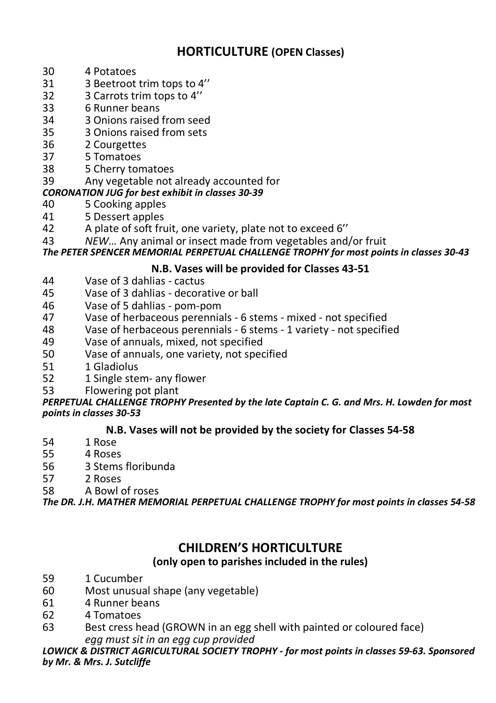# **HORTICULTURE (OPEN Classes)**

- 30 4 Potatoes
- 31 3 Beetroot trim tops to 4"<br>32 3 Carrots trim tops to 4"
- 32 3 Carrots trim tops to 4"<br>33 6 Runner beans
- 6 Runner beans
- 34 3 Onions raised from seed<br>35 3 Onions raised from sets
- 35 3 Onions raised from sets<br>36 2 Courgettes
- 36 2 Courgettes<br>37 5 Tomatoes
- 
- 37 5 Tomatoes<br>38 5 Cherry ton 38 5 Cherry tomatoes<br>39 Any vegetable not
- Any vegetable not already accounted for

*CORONATION JUG for best exhibit in classes 30-39*

- 40 5 Cooking apples
- 41  $\frac{1}{4}$  5 Dessert apples
- 42 A plate of soft fruit, one variety, plate not to exceed 6"<br>43 MEW Any animal or insect made from vegetables and
- 43 *NEW…* Any animal or insect made from vegetables and/or fruit

#### *The PETER SPENCER MEMORIAL PERPETUAL CHALLENGE TROPHY for most points in classes 30-43*

#### **N.B. Vases will be provided for Classes 43-51**

- 44 Vase of 3 dahlias cactus<br>45 Vase of 3 dahlias decora
- 45 Vase of 3 dahlias decorative or ball<br>46 Vase of 5 dahlias nom-nom
- 46 Vase of 5 dahlias pom-pom
- 47 Vase of herbaceous perennials 6 stems mixed not specified<br>48 Vase of herbaceous perennials 6 stems 1 variety not specific
- 48 Vase of herbaceous perennials 6 stems 1 variety not specified<br>49 Vase of annuals mixed not specified
- 49 Vase of annuals, mixed, not specified<br>50 Vase of annuals, one variety, not spec
- 50 Vase of annuals, one variety, not specified<br>51 1 Gladiolus
- 51 1 Gladiolus<br>52 1 Single ste
- 52 1 Single stem- any flower<br>53 Flowering pot plant
- Flowering pot plant

#### *PERPETUAL CHALLENGE TROPHY Presented by the late Captain C. G. and Mrs. H. Lowden for most points in classes 30-53*

#### **N.B. Vases will not be provided by the society for Classes 54-58**

- 54 1 Rose
- 55 4 Roses
- 56 3 Stems floribunda<br>57 2 Roses
- 57 2 Roses<br>58 A Bowle
- 58 A Bowl of roses

*The DR. J.H. MATHER MEMORIAL PERPETUAL CHALLENGE TROPHY for most points in classes 54-58*

# **CHILDREN'S HORTICULTURE**

#### **(only open to parishes included in the rules)**

- 59 1 Cucumber
- 60 Most unusual shape (any vegetable)
- 61 4 Runner beans
- 62 4 Tomatoes
- Best cress head (GROWN in an egg shell with painted or coloured face) *egg must sit in an egg cup provided*

*LOWICK & DISTRICT AGRICULTURAL SOCIETY TROPHY - for most points in classes 59-63. Sponsored by Mr. & Mrs. J. Sutcliffe*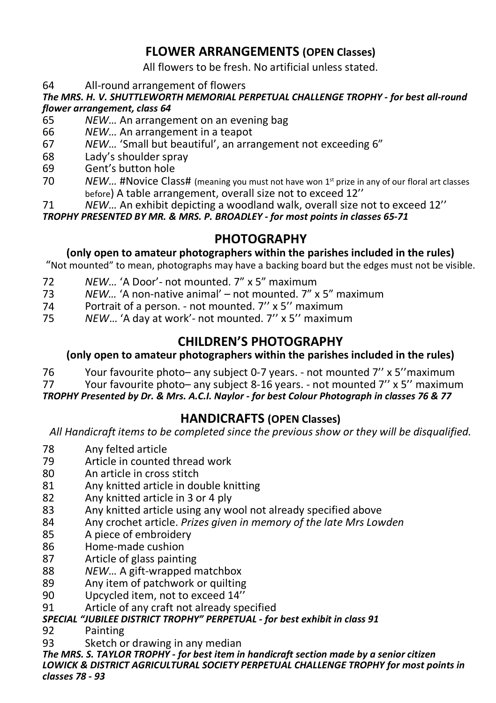# **FLOWER ARRANGEMENTS (OPEN Classes)**

All flowers to be fresh. No artificial unless stated.

64 All-round arrangement of flowers

#### *The MRS. H. V. SHUTTLEWORTH MEMORIAL PERPETUAL CHALLENGE TROPHY - for best all-round flower arrangement, class 64*

- 65 *NEW…* An arrangement on an evening bag
- 66 *NEW…* An arrangement in a teapot
- 67 *NEW…* 'Small but beautiful', an arrangement not exceeding 6"
- 68 Lady's shoulder spray<br>69 Gent's button hole
- 69 Gent's button hole<br>70 MEW #Novice Cla
- NEW... #Novice Class# (meaning you must not have won 1<sup>st</sup> prize in any of our floral art classes before) A table arrangement, overall size not to exceed 12''
- 71 *NEW…* An exhibit depicting a woodland walk, overall size not to exceed 12''

*TROPHY PRESENTED BY MR. & MRS. P. BROADLEY - for most points in classes 65-71*

### **PHOTOGRAPHY**

#### **(only open to amateur photographers within the parishes included in the rules)**

"Not mounted" to mean, photographs may have a backing board but the edges must not be visible.

- 72 *NEW…* 'A Door'- not mounted. 7" x 5" maximum
- 73 *NEW…* 'A non-native animal' – not mounted. 7" x 5" maximum
- 74 Portrait of a person. - not mounted. 7'' x 5'' maximum
- 75 *NEW*… 'A day at work'- not mounted. 7'' x 5'' maximum

# **CHILDREN'S PHOTOGRAPHY**

#### **(only open to amateur photographers within the parishes included in the rules)**

76 Your favourite photo– any subject 0-7 years. - not mounted 7" x 5" maximum<br>77 Your favourite photo– any subject 8-16 years - not mounted 7" x 5" maximur

Your favourite photo– any subject 8-16 years. - not mounted 7" x 5" maximum

*TROPHY Presented by Dr. & Mrs. A.C.I. Naylor - for best Colour Photograph in classes 76 & 77*

### **HANDICRAFTS (OPEN Classes)**

*All Handicraft items to be completed since the previous show or they will be disqualified.*

- 78 Any felted article<br>79 Article in counted
- 79 Article in counted thread work<br>80 An article in cross stitch
- 80 An article in cross stitch<br>81 Any knitted article in do
- 81 Any knitted article in double knitting<br>82 Any knitted article in 3 or 4 ply
- Any knitted article in 3 or 4 ply
- 83 Any knitted article using any wool not already specified above<br>84 Any crochet article, *Prizes given in memory of the late Mrs Low*
- 84 Any crochet article. *Prizes given in memory of the late Mrs Lowden*
- 85 A piece of embroidery<br>86 Home-made cushion
- 86 Home-made cushion<br>87 Article of glass painti
- 87 Article of glass painting<br>88 NEW A gift-wranned r
- 88 *NEW…* A gift-wrapped matchbox
- Any item of patchwork or quilting
- 90 Upcycled item, not to exceed 14''
- 91 Article of any craft not already specified

*SPECIAL "JUBILEE DISTRICT TROPHY" PERPETUAL - for best exhibit in class 91*

- 92 Painting
- 93 Sketch or drawing in any median

*The MRS. S. TAYLOR TROPHY - for best item in handicraft section made by a senior citizen LOWICK & DISTRICT AGRICULTURAL SOCIETY PERPETUAL CHALLENGE TROPHY for most points in classes 78 - 93*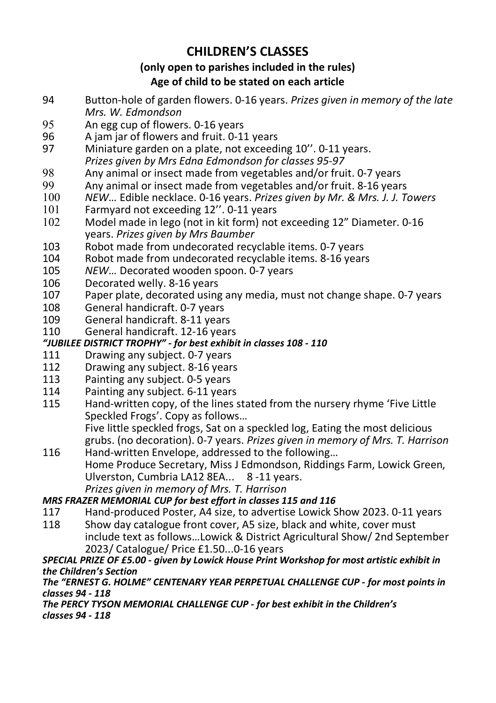# **CHILDREN'S CLASSES**

#### **(only open to parishes included in the rules)**

#### **Age of child to be stated on each article**

- 94 Button-hole of garden flowers. 0-16 years. *Prizes given in memory of the late Mrs. W. Edmondson*
- 95 An egg cup of flowers. 0-16 years
- 96 A jam jar of flowers and fruit. 0-11 years
- Miniature garden on a plate, not exceeding 10". 0-11 years. *Prizes given by Mrs Edna Edmondson for classes 95-97*
- 98 Any animal or insect made from vegetables and/or fruit. 0-7 years
- 99 Any animal or insect made from vegetables and/or fruit. 8-16 years<br>100 NEW... Edible necklace. 0-16 years. Prizes given by Mr. & Mrs. J. J. To
- 100 *NEW…* Edible necklace. 0-16 years. *Prizes given by Mr. & Mrs. J. J. Towers*
- 101 Farmyard not exceeding 12''. 0-11 years
- Model made in lego (not in kit form) not exceeding 12" Diameter. 0-16 years. *Prizes given by Mrs Baumber*
- 103 Robot made from undecorated recyclable items. 0-7 years<br>104 Robot made from undecorated recyclable items. 8-16 years
- 104 Robot made from undecorated recyclable items. 8-16 years<br>105 NEW... Decorated wooden spoon. 0-7 years
- 105 *NEW…* Decorated wooden spoon. 0-7 years
- 106 Decorated welly. 8-16 years<br>107 Paper plate, decorated using
- 107 Paper plate, decorated using any media, must not change shape. 0-7 years<br>108 General handicraft. 0-7 years
- 108 General handicraft. 0-7 years<br>109 General handicraft. 8-11 years
- 109 General handicraft. 8-11 years<br>110 General handicraft. 12-16 years
- General handicraft. 12-16 years

#### *"JUBILEE DISTRICT TROPHY" - for best exhibit in classes 108 - 110*

- 111 Drawing any subject. 0-7 years<br>112 Drawing any subject. 8-16 years
- 112 Drawing any subject. 8-16 years<br>113 Painting any subject 0-5 years
- 113 Painting any subject. 0-5 years<br>114 Painting any subject 6-11 year
- Painting any subiect. 6-11 years
- 115 Hand-written copy, of the lines stated from the nursery rhyme 'Five Little Speckled Frogs'. Copy as follows…

Five little speckled frogs, Sat on a speckled log, Eating the most delicious grubs. (no decoration). 0-7 years. *Prizes given in memory of Mrs. T. Harrison*

116 Hand-written Envelope, addressed to the following… Home Produce Secretary, Miss J Edmondson, Riddings Farm, Lowick Green, Ulverston, Cumbria LA12 8EA... 8 -11 years. *Prizes given in memory of Mrs. T. Harrison*

#### *MRS FRAZER MEMORIAL CUP for best effort in classes 115 and 116*

- 117 Hand-produced Poster, A4 size, to advertise Lowick Show 2023. 0-11 years
- Show day catalogue front cover, A5 size, black and white, cover must include text as follows…Lowick & District Agricultural Show/ 2nd September 2023/ Catalogue/ Price £1.50...0-16 years

#### *SPECIAL PRIZE OF £5.00 - given by Lowick House Print Workshop for most artistic exhibit in the Children's Section*

*The "ERNEST G. HOLME" CENTENARY YEAR PERPETUAL CHALLENGE CUP - for most points in classes 94 - 118*

*The PERCY TYSON MEMORIAL CHALLENGE CUP - for best exhibit in the Children's classes 94 - 118*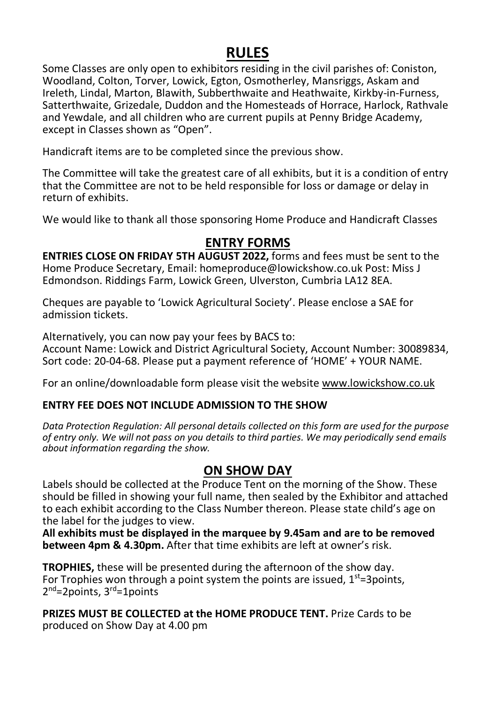# **RULES**

Some Classes are only open to exhibitors residing in the civil parishes of: Coniston, Woodland, Colton, Torver, Lowick, Egton, Osmotherley, Mansriggs, Askam and Ireleth, Lindal, Marton, Blawith, Subberthwaite and Heathwaite, Kirkby-in-Furness, Satterthwaite, Grizedale, Duddon and the Homesteads of Horrace, Harlock, Rathvale and Yewdale, and all children who are current pupils at Penny Bridge Academy, except in Classes shown as "Open".

Handicraft items are to be completed since the previous show.

The Committee will take the greatest care of all exhibits, but it is a condition of entry that the Committee are not to be held responsible for loss or damage or delay in return of exhibits.

We would like to thank all those sponsoring Home Produce and Handicraft Classes

### **ENTRY FORMS**

**ENTRIES CLOSE ON FRIDAY 5TH AUGUST 2022,** forms and fees must be sent to the Home Produce Secretary, Email: homeproduce@lowickshow.co.uk Post: Miss J Edmondson. Riddings Farm, Lowick Green, Ulverston, Cumbria LA12 8EA.

Cheques are payable to 'Lowick Agricultural Society'. Please enclose a SAE for admission tickets.

Alternatively, you can now pay your fees by BACS to:

Account Name: Lowick and District Agricultural Society, Account Number: 30089834, Sort code: 20-04-68. Please put a payment reference of 'HOME' + YOUR NAME.

For an online/downloadable form please visit the website www.lowickshow.co.uk

#### **ENTRY FEE DOES NOT INCLUDE ADMISSION TO THE SHOW**

*Data Protection Regulation: All personal details collected on this form are used for the purpose of entry only. We will not pass on you details to third parties. We may periodically send emails about information regarding the show.* 

### **ON SHOW DAY**

Labels should be collected at the Produce Tent on the morning of the Show. These should be filled in showing your full name, then sealed by the Exhibitor and attached to each exhibit according to the Class Number thereon. Please state child's age on the label for the judges to view.

**All exhibits must be displayed in the marquee by 9.45am and are to be removed between 4pm & 4.30pm.** After that time exhibits are left at owner's risk.

**TROPHIES,** these will be presented during the afternoon of the show day. For Trophies won through a point system the points are issued,  $1<sup>st</sup>=3$ points,  $2<sup>nd</sup>=2$ points,  $3<sup>rd</sup>=1$ points

**PRIZES MUST BE COLLECTED at the HOME PRODUCE TENT.** Prize Cards to be produced on Show Day at 4.00 pm